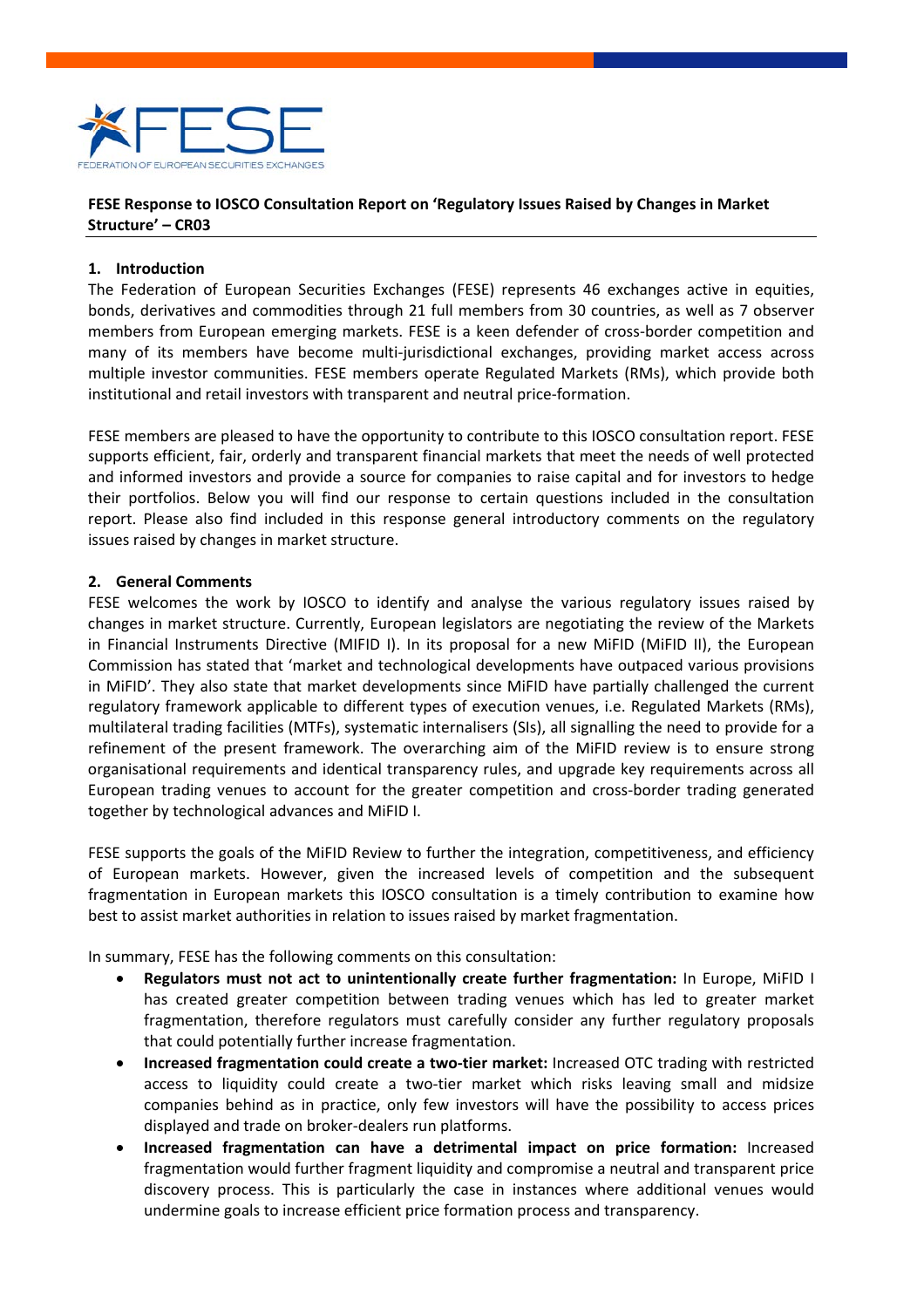

# **FESE Response to IOSCO Consultation Report on 'Regulatory Issues Raised by Changes in Market Structure' – CR03**

#### **1. Introduction**

The Federation of European Securities Exchanges (FESE) represents 46 exchanges active in equities, bonds, derivatives and commodities through 21 full members from 30 countries, as well as 7 observer members from European emerging markets. FESE is a keen defender of cross-border competition and many of its members have become multi‐jurisdictional exchanges, providing market access across multiple investor communities. FESE members operate Regulated Markets (RMs), which provide both institutional and retail investors with transparent and neutral price‐formation.

FESE members are pleased to have the opportunity to contribute to this IOSCO consultation report. FESE supports efficient, fair, orderly and transparent financial markets that meet the needs of well protected and informed investors and provide a source for companies to raise capital and for investors to hedge their portfolios. Below you will find our response to certain questions included in the consultation report. Please also find included in this response general introductory comments on the regulatory issues raised by changes in market structure.

# **2. General Comments**

FESE welcomes the work by IOSCO to identify and analyse the various regulatory issues raised by changes in market structure. Currently, European legislators are negotiating the review of the Markets in Financial Instruments Directive (MIFID I). In its proposal for a new MiFID (MiFID II), the European Commission has stated that 'market and technological developments have outpaced various provisions in MiFID'. They also state that market developments since MiFID have partially challenged the current regulatory framework applicable to different types of execution venues, i.e. Regulated Markets (RMs), multilateral trading facilities (MTFs), systematic internalisers (SIs), all signalling the need to provide for a refinement of the present framework. The overarching aim of the MiFID review is to ensure strong organisational requirements and identical transparency rules, and upgrade key requirements across all European trading venues to account for the greater competition and cross-border trading generated together by technological advances and MiFID I.

FESE supports the goals of the MiFID Review to further the integration, competitiveness, and efficiency of European markets. However, given the increased levels of competition and the subsequent fragmentation in European markets this IOSCO consultation is a timely contribution to examine how best to assist market authorities in relation to issues raised by market fragmentation.

In summary, FESE has the following comments on this consultation:

- **Regulators must not act to unintentionally create further fragmentation:** In Europe, MiFID I has created greater competition between trading venues which has led to greater market fragmentation, therefore regulators must carefully consider any further regulatory proposals that could potentially further increase fragmentation.
- **Increased fragmentation could create a two‐tier market:** Increased OTC trading with restricted access to liquidity could create a two-tier market which risks leaving small and midsize companies behind as in practice, only few investors will have the possibility to access prices displayed and trade on broker‐dealers run platforms.
- **Increased fragmentation can have a detrimental impact on price formation:** Increased fragmentation would further fragment liquidity and compromise a neutral and transparent price discovery process. This is particularly the case in instances where additional venues would undermine goals to increase efficient price formation process and transparency.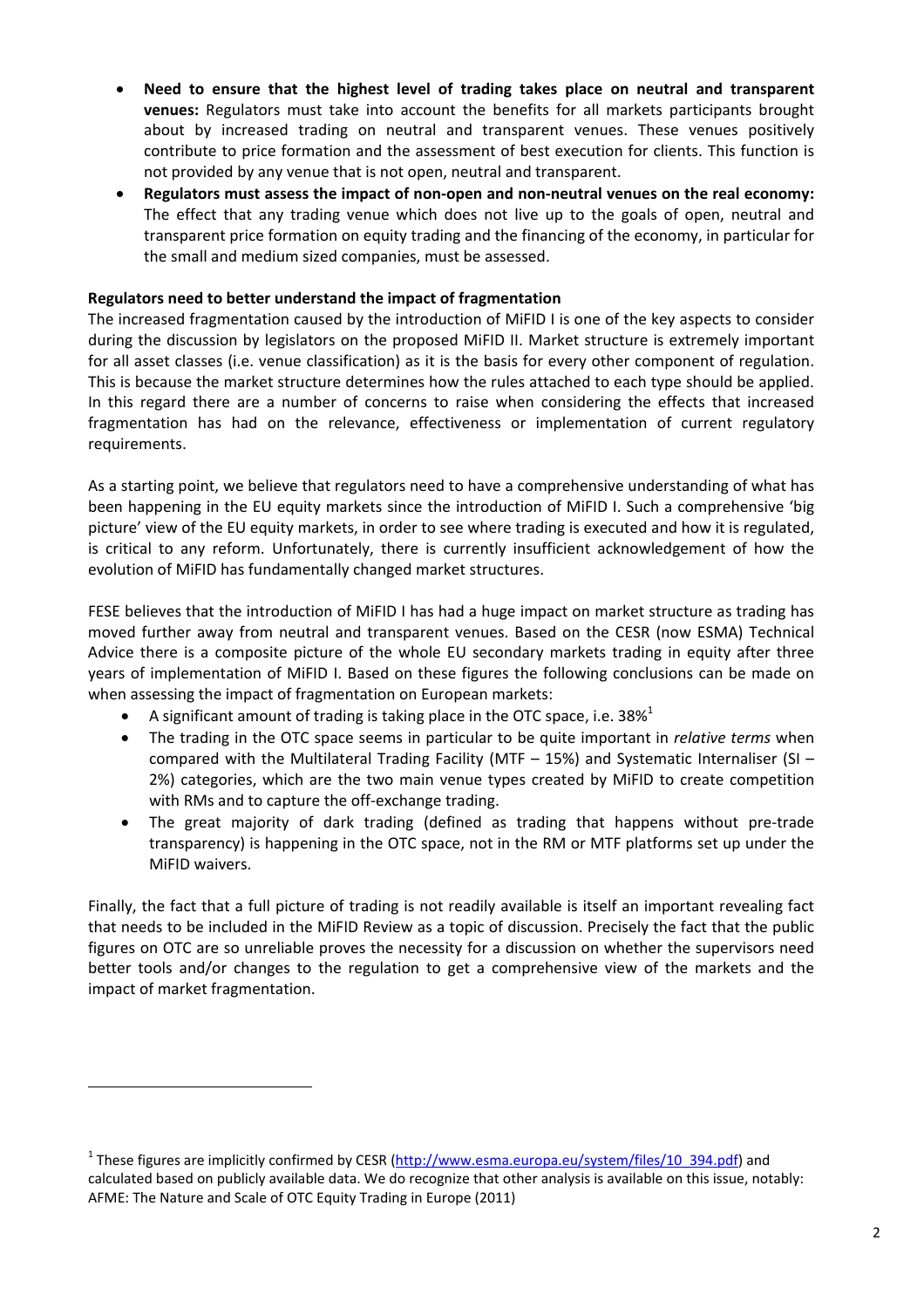- **Need to ensure that the highest level of trading takes place on neutral and transparent venues:** Regulators must take into account the benefits for all markets participants brought about by increased trading on neutral and transparent venues. These venues positively contribute to price formation and the assessment of best execution for clients. This function is not provided by any venue that is not open, neutral and transparent.
- **Regulators must assess the impact of non‐open and non‐neutral venues on the real economy:** The effect that any trading venue which does not live up to the goals of open, neutral and transparent price formation on equity trading and the financing of the economy, in particular for the small and medium sized companies, must be assessed.

# **Regulators need to better understand the impact of fragmentation**

The increased fragmentation caused by the introduction of MiFID I is one of the key aspects to consider during the discussion by legislators on the proposed MiFID II. Market structure is extremely important for all asset classes (i.e. venue classification) as it is the basis for every other component of regulation. This is because the market structure determines how the rules attached to each type should be applied. In this regard there are a number of concerns to raise when considering the effects that increased fragmentation has had on the relevance, effectiveness or implementation of current regulatory requirements.

As a starting point, we believe that regulators need to have a comprehensive understanding of what has been happening in the EU equity markets since the introduction of MiFID I. Such a comprehensive 'big picture' view of the EU equity markets, in order to see where trading is executed and how it is regulated, is critical to any reform. Unfortunately, there is currently insufficient acknowledgement of how the evolution of MiFID has fundamentally changed market structures.

FESE believes that the introduction of MiFID I has had a huge impact on market structure as trading has moved further away from neutral and transparent venues. Based on the CESR (now ESMA) Technical Advice there is a composite picture of the whole EU secondary markets trading in equity after three years of implementation of MiFID I. Based on these figures the following conclusions can be made on when assessing the impact of fragmentation on European markets:

A significant amount of trading is taking place in the OTC space, i.e.  $38\%$ <sup>1</sup>

- The trading in the OTC space seems in particular to be quite important in *relative terms* when compared with the Multilateral Trading Facility (MTF  $-$  15%) and Systematic Internaliser (SI  $-$ 2%) categories, which are the two main venue types created by MiFID to create competition with RMs and to capture the off-exchange trading.
- The great majority of dark trading (defined as trading that happens without pre-trade transparency) is happening in the OTC space, not in the RM or MTF platforms set up under the MiFID waivers.

Finally, the fact that a full picture of trading is not readily available is itself an important revealing fact that needs to be included in the MiFID Review as a topic of discussion. Precisely the fact that the public figures on OTC are so unreliable proves the necessity for a discussion on whether the supervisors need better tools and/or changes to the regulation to get a comprehensive view of the markets and the impact of market fragmentation.

<sup>&</sup>lt;sup>1</sup> These figures are implicitly confirmed by CESR (http://www.esma.europa.eu/system/files/10\_394.pdf) and calculated based on publicly available data. We do recognize that other analysis is available on this issue, notably: AFME: The Nature and Scale of OTC Equity Trading in Europe (2011)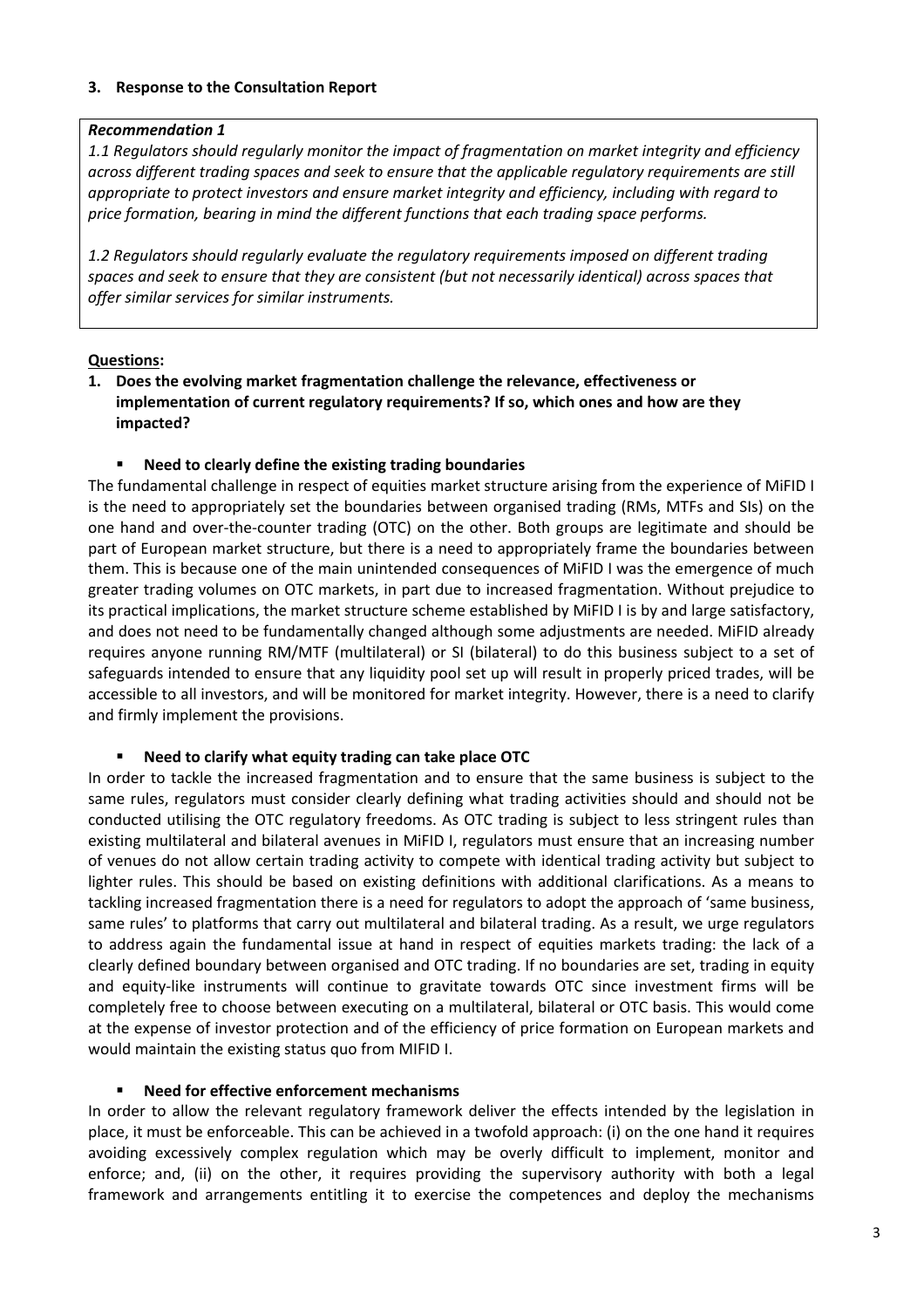# **3. Response to the Consultation Report**

# *Recommendation 1*

*1.1 Regulators should regularly monitor the impact of fragmentation on market integrity and efficiency across different trading spaces and seek to ensure that the applicable regulatory requirements are still appropriate to protect investors and ensure market integrity and efficiency, including with regard to price formation, bearing in mind the different functions that each trading space performs.*

*1.2 Regulators should regularly evaluate the regulatory requirements imposed on different trading spaces and seek to ensure that they are consistent (but not necessarily identical) across spaces that offer similar services for similar instruments.*

# **Questions:**

**1. Does the evolving market fragmentation challenge the relevance, effectiveness or implementation of current regulatory requirements? If so, which ones and how are they impacted?**

# **Need to clearly define the existing trading boundaries**

The fundamental challenge in respect of equities market structure arising from the experience of MiFID I is the need to appropriately set the boundaries between organised trading (RMs, MTFs and SIs) on the one hand and over‐the‐counter trading (OTC) on the other. Both groups are legitimate and should be part of European market structure, but there is a need to appropriately frame the boundaries between them. This is because one of the main unintended consequences of MiFID I was the emergence of much greater trading volumes on OTC markets, in part due to increased fragmentation. Without prejudice to its practical implications, the market structure scheme established by MiFID I is by and large satisfactory, and does not need to be fundamentally changed although some adjustments are needed. MiFID already requires anyone running RM/MTF (multilateral) or SI (bilateral) to do this business subject to a set of safeguards intended to ensure that any liquidity pool set up will result in properly priced trades, will be accessible to all investors, and will be monitored for market integrity. However, there is a need to clarify and firmly implement the provisions.

#### **Need to clarify what equity trading can take place OTC**

In order to tackle the increased fragmentation and to ensure that the same business is subject to the same rules, regulators must consider clearly defining what trading activities should and should not be conducted utilising the OTC regulatory freedoms. As OTC trading is subject to less stringent rules than existing multilateral and bilateral avenues in MiFID I, regulators must ensure that an increasing number of venues do not allow certain trading activity to compete with identical trading activity but subject to lighter rules. This should be based on existing definitions with additional clarifications. As a means to tackling increased fragmentation there is a need for regulators to adopt the approach of 'same business, same rules' to platforms that carry out multilateral and bilateral trading. As a result, we urge regulators to address again the fundamental issue at hand in respect of equities markets trading: the lack of a clearly defined boundary between organised and OTC trading. If no boundaries are set, trading in equity and equity-like instruments will continue to gravitate towards OTC since investment firms will be completely free to choose between executing on a multilateral, bilateral or OTC basis. This would come at the expense of investor protection and of the efficiency of price formation on European markets and would maintain the existing status quo from MIFID I.

#### **Need for effective enforcement mechanisms**

In order to allow the relevant regulatory framework deliver the effects intended by the legislation in place, it must be enforceable. This can be achieved in a twofold approach: (i) on the one hand it requires avoiding excessively complex regulation which may be overly difficult to implement, monitor and enforce; and, (ii) on the other, it requires providing the supervisory authority with both a legal framework and arrangements entitling it to exercise the competences and deploy the mechanisms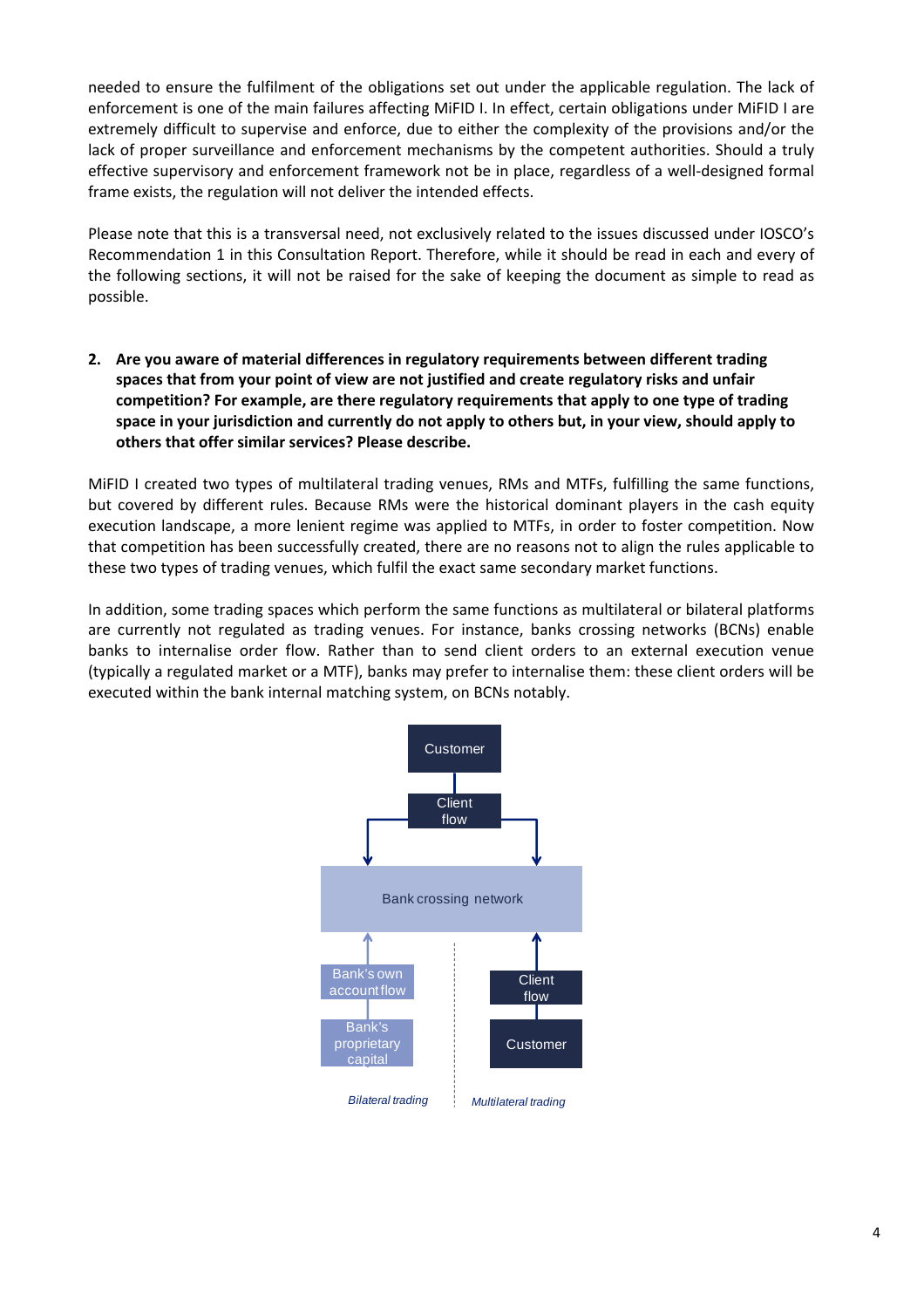needed to ensure the fulfilment of the obligations set out under the applicable regulation. The lack of enforcement is one of the main failures affecting MiFID I. In effect, certain obligations under MiFID I are extremely difficult to supervise and enforce, due to either the complexity of the provisions and/or the lack of proper surveillance and enforcement mechanisms by the competent authorities. Should a truly effective supervisory and enforcement framework not be in place, regardless of a well‐designed formal frame exists, the regulation will not deliver the intended effects.

Please note that this is a transversal need, not exclusively related to the issues discussed under IOSCO's Recommendation 1 in this Consultation Report. Therefore, while it should be read in each and every of the following sections, it will not be raised for the sake of keeping the document as simple to read as possible.

**2. Are you aware of material differences in regulatory requirements between different trading spaces that from your point of view are not justified and create regulatory risks and unfair competition? For example, are there regulatory requirements that apply to one type of trading space in your jurisdiction and currently do not apply to others but, in your view, should apply to others that offer similar services? Please describe.**

MiFID I created two types of multilateral trading venues, RMs and MTFs, fulfilling the same functions, but covered by different rules. Because RMs were the historical dominant players in the cash equity execution landscape, a more lenient regime was applied to MTFs, in order to foster competition. Now that competition has been successfully created, there are no reasons not to align the rules applicable to these two types of trading venues, which fulfil the exact same secondary market functions.

In addition, some trading spaces which perform the same functions as multilateral or bilateral platforms are currently not regulated as trading venues. For instance, banks crossing networks (BCNs) enable banks to internalise order flow. Rather than to send client orders to an external execution venue (typically a regulated market or a MTF), banks may prefer to internalise them: these client orders will be executed within the bank internal matching system, on BCNs notably.

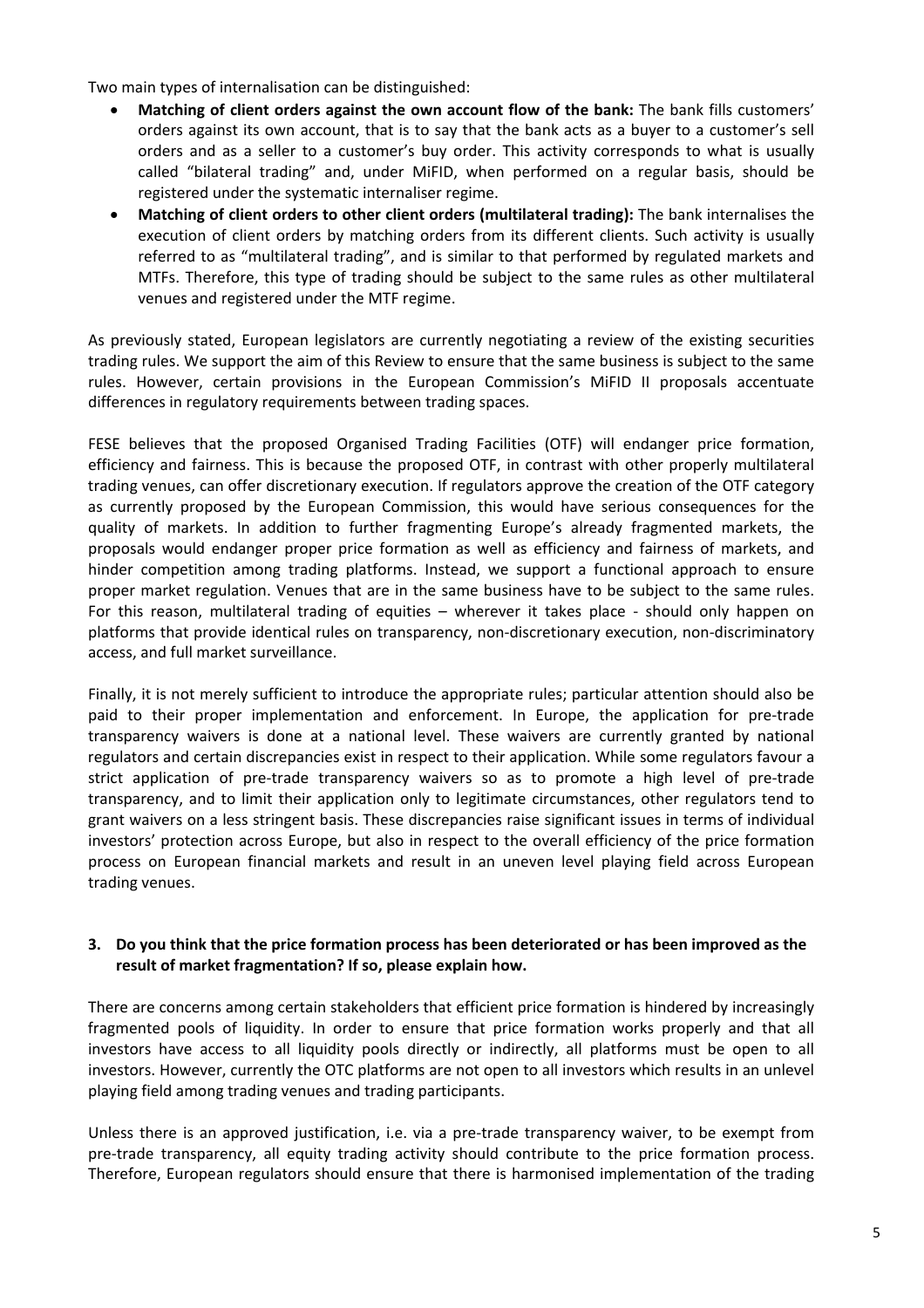Two main types of internalisation can be distinguished:

- **Matching of client orders against the own account flow of the bank:** The bank fills customers' orders against its own account, that is to say that the bank acts as a buyer to a customer's sell orders and as a seller to a customer's buy order. This activity corresponds to what is usually called "bilateral trading" and, under MiFID, when performed on a regular basis, should be registered under the systematic internaliser regime.
- **Matching of client orders to other client orders (multilateral trading):** The bank internalises the execution of client orders by matching orders from its different clients. Such activity is usually referred to as "multilateral trading", and is similar to that performed by regulated markets and MTFs. Therefore, this type of trading should be subject to the same rules as other multilateral venues and registered under the MTF regime.

As previously stated, European legislators are currently negotiating a review of the existing securities trading rules. We support the aim of this Review to ensure that the same business is subject to the same rules. However, certain provisions in the European Commission's MiFID II proposals accentuate differences in regulatory requirements between trading spaces.

FESE believes that the proposed Organised Trading Facilities (OTF) will endanger price formation, efficiency and fairness. This is because the proposed OTF, in contrast with other properly multilateral trading venues, can offer discretionary execution. If regulators approve the creation of the OTF category as currently proposed by the European Commission, this would have serious consequences for the quality of markets. In addition to further fragmenting Europe's already fragmented markets, the proposals would endanger proper price formation as well as efficiency and fairness of markets, and hinder competition among trading platforms. Instead, we support a functional approach to ensure proper market regulation. Venues that are in the same business have to be subject to the same rules. For this reason, multilateral trading of equities – wherever it takes place - should only happen on platforms that provide identical rules on transparency, non‐discretionary execution, non‐discriminatory access, and full market surveillance.

Finally, it is not merely sufficient to introduce the appropriate rules; particular attention should also be paid to their proper implementation and enforcement. In Europe, the application for pre-trade transparency waivers is done at a national level. These waivers are currently granted by national regulators and certain discrepancies exist in respect to their application. While some regulators favour a strict application of pre‐trade transparency waivers so as to promote a high level of pre‐trade transparency, and to limit their application only to legitimate circumstances, other regulators tend to grant waivers on a less stringent basis. These discrepancies raise significant issues in terms of individual investors' protection across Europe, but also in respect to the overall efficiency of the price formation process on European financial markets and result in an uneven level playing field across European trading venues.

# **3. Do you think that the price formation process has been deteriorated or has been improved as the result of market fragmentation? If so, please explain how.**

There are concerns among certain stakeholders that efficient price formation is hindered by increasingly fragmented pools of liquidity. In order to ensure that price formation works properly and that all investors have access to all liquidity pools directly or indirectly, all platforms must be open to all investors. However, currently the OTC platforms are not open to all investors which results in an unlevel playing field among trading venues and trading participants.

Unless there is an approved justification, i.e. via a pre‐trade transparency waiver, to be exempt from pre-trade transparency, all equity trading activity should contribute to the price formation process. Therefore, European regulators should ensure that there is harmonised implementation of the trading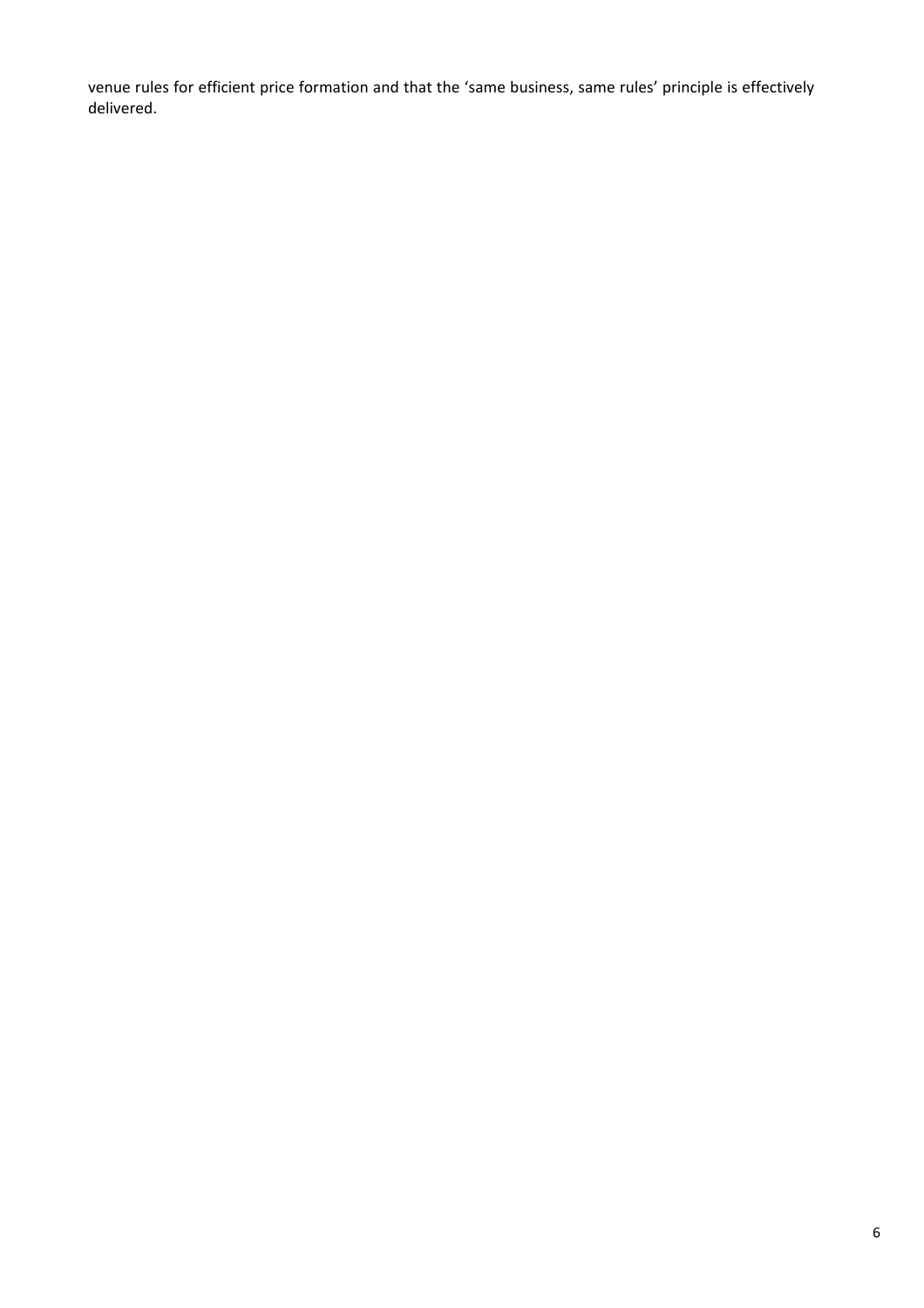venue rules for efficient price formation and that the 'same business, same rules' principle is effectively delivered.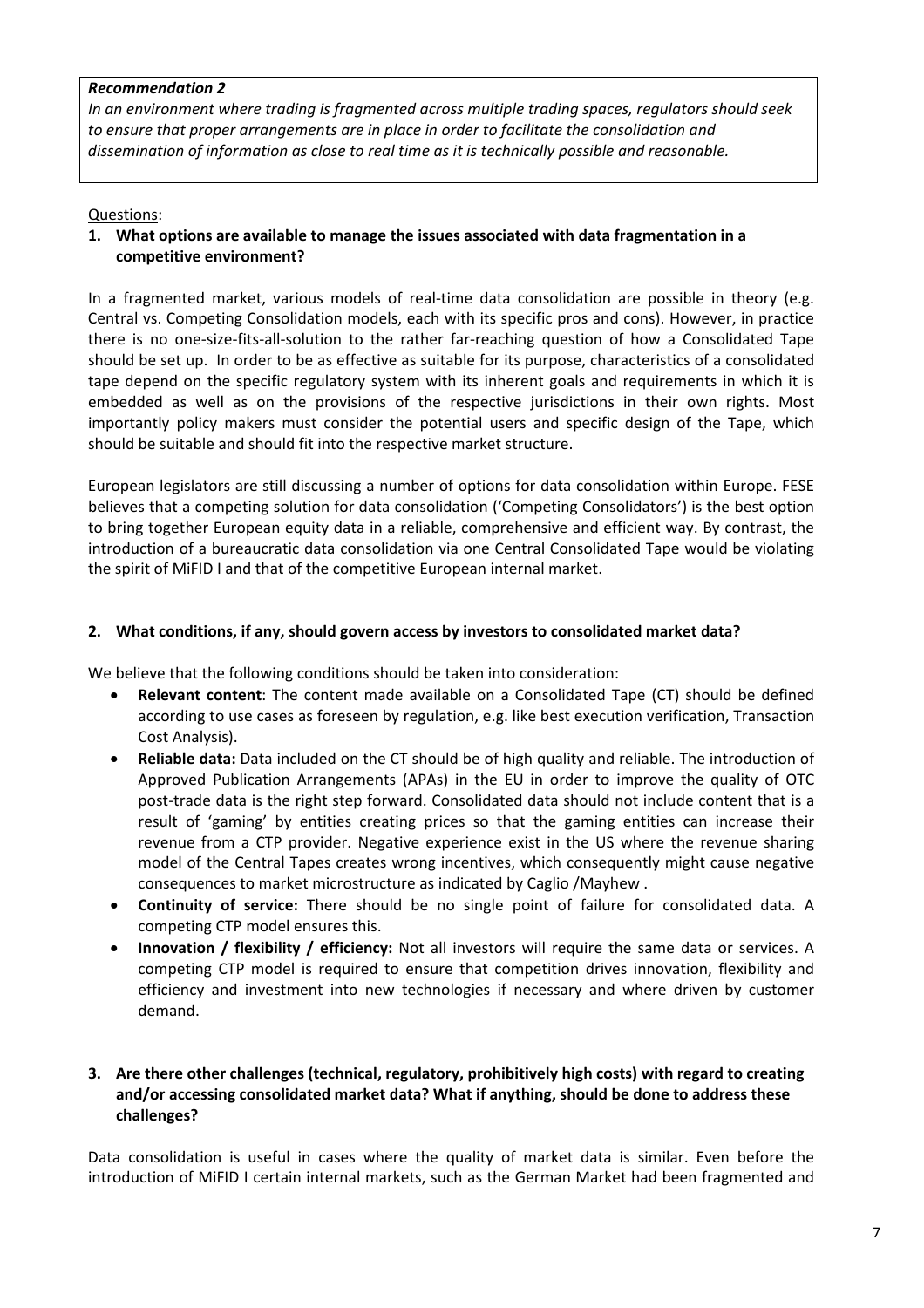#### *Recommendation 2*

*In an environment where trading is fragmented across multiple trading spaces, regulators should seek to ensure that proper arrangements are in place in order to facilitate the consolidation and dissemination of information as close to real time as it is technically possible and reasonable.*

# Questions:

# **1. What options are available to manage the issues associated with data fragmentation in a competitive environment?**

In a fragmented market, various models of real-time data consolidation are possible in theory (e.g. Central vs. Competing Consolidation models, each with its specific pros and cons). However, in practice there is no one‐size‐fits‐all‐solution to the rather far‐reaching question of how a Consolidated Tape should be set up. In order to be as effective as suitable for its purpose, characteristics of a consolidated tape depend on the specific regulatory system with its inherent goals and requirements in which it is embedded as well as on the provisions of the respective jurisdictions in their own rights. Most importantly policy makers must consider the potential users and specific design of the Tape, which should be suitable and should fit into the respective market structure.

European legislators are still discussing a number of options for data consolidation within Europe. FESE believes that a competing solution for data consolidation ('Competing Consolidators') is the best option to bring together European equity data in a reliable, comprehensive and efficient way. By contrast, the introduction of a bureaucratic data consolidation via one Central Consolidated Tape would be violating the spirit of MiFID I and that of the competitive European internal market.

# **2. What conditions, if any, should govern access by investors to consolidated market data?**

We believe that the following conditions should be taken into consideration:

- **Relevant content**: The content made available on a Consolidated Tape (CT) should be defined according to use cases as foreseen by regulation, e.g. like best execution verification, Transaction Cost Analysis).
- **Reliable data:** Data included on the CT should be of high quality and reliable. The introduction of Approved Publication Arrangements (APAs) in the EU in order to improve the quality of OTC post-trade data is the right step forward. Consolidated data should not include content that is a result of 'gaming' by entities creating prices so that the gaming entities can increase their revenue from a CTP provider. Negative experience exist in the US where the revenue sharing model of the Central Tapes creates wrong incentives, which consequently might cause negative consequences to market microstructure as indicated by Caglio /Mayhew .
- **Continuity of service:** There should be no single point of failure for consolidated data. A competing CTP model ensures this.
- **Innovation / flexibility / efficiency:** Not all investors will require the same data or services. A competing CTP model is required to ensure that competition drives innovation, flexibility and efficiency and investment into new technologies if necessary and where driven by customer demand.

# **3. Are there other challenges (technical, regulatory, prohibitively high costs) with regard to creating and/or accessing consolidated market data? What if anything, should be done to address these challenges?**

Data consolidation is useful in cases where the quality of market data is similar. Even before the introduction of MiFID I certain internal markets, such as the German Market had been fragmented and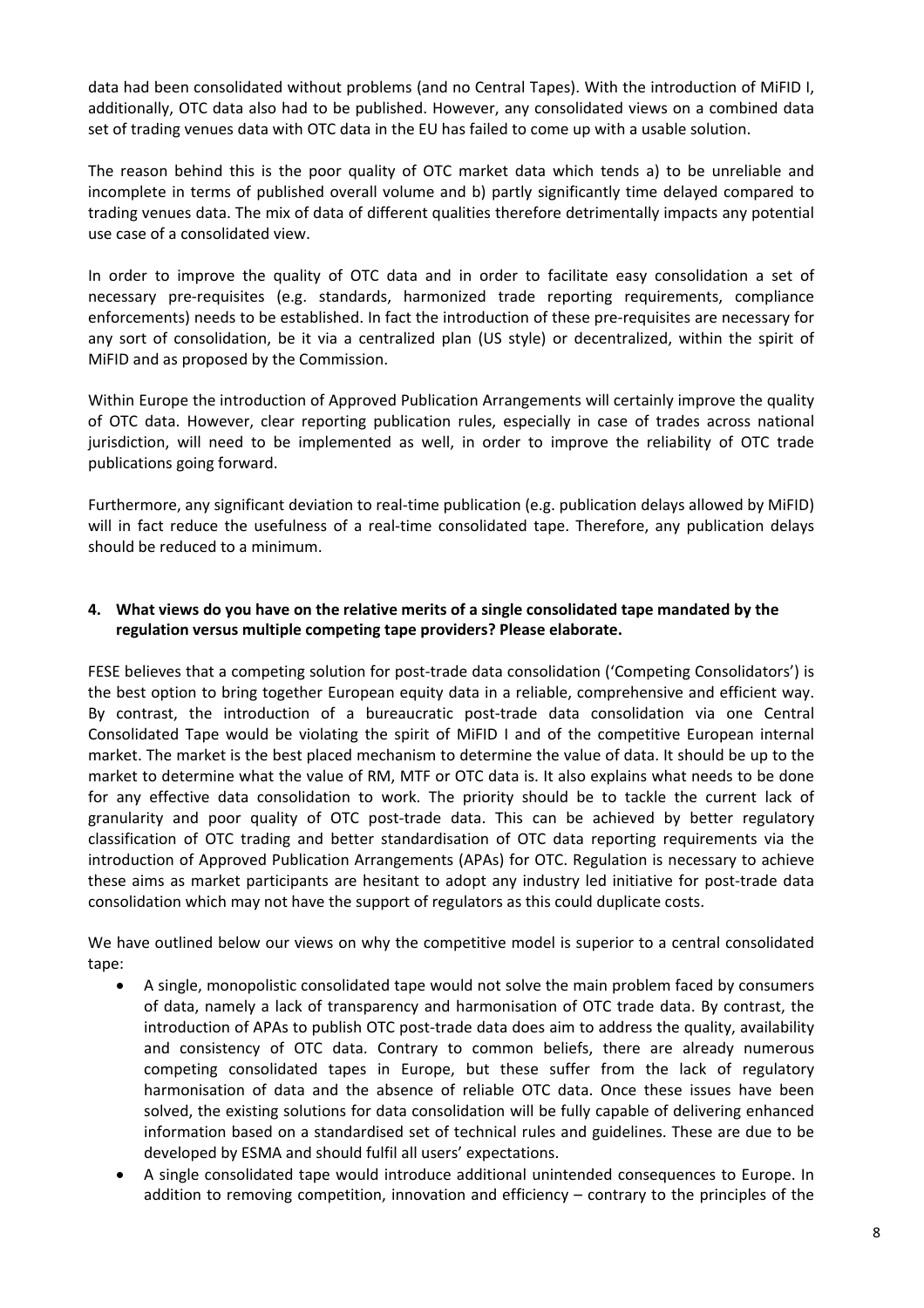data had been consolidated without problems (and no Central Tapes). With the introduction of MiFID I, additionally, OTC data also had to be published. However, any consolidated views on a combined data set of trading venues data with OTC data in the EU has failed to come up with a usable solution.

The reason behind this is the poor quality of OTC market data which tends a) to be unreliable and incomplete in terms of published overall volume and b) partly significantly time delayed compared to trading venues data. The mix of data of different qualities therefore detrimentally impacts any potential use case of a consolidated view.

In order to improve the quality of OTC data and in order to facilitate easy consolidation a set of necessary pre‐requisites (e.g. standards, harmonized trade reporting requirements, compliance enforcements) needs to be established. In fact the introduction of these pre‐requisites are necessary for any sort of consolidation, be it via a centralized plan (US style) or decentralized, within the spirit of MiFID and as proposed by the Commission.

Within Europe the introduction of Approved Publication Arrangements will certainly improve the quality of OTC data. However, clear reporting publication rules, especially in case of trades across national jurisdiction, will need to be implemented as well, in order to improve the reliability of OTC trade publications going forward.

Furthermore, any significant deviation to real‐time publication (e.g. publication delays allowed by MiFID) will in fact reduce the usefulness of a real-time consolidated tape. Therefore, any publication delays should be reduced to a minimum.

# **4. What views do you have on the relative merits of a single consolidated tape mandated by the regulation versus multiple competing tape providers? Please elaborate.**

FESE believes that a competing solution for post-trade data consolidation ('Competing Consolidators') is the best option to bring together European equity data in a reliable, comprehensive and efficient way. By contrast, the introduction of a bureaucratic post-trade data consolidation via one Central Consolidated Tape would be violating the spirit of MiFID I and of the competitive European internal market. The market is the best placed mechanism to determine the value of data. It should be up to the market to determine what the value of RM, MTF or OTC data is. It also explains what needs to be done for any effective data consolidation to work. The priority should be to tackle the current lack of granularity and poor quality of OTC post-trade data. This can be achieved by better regulatory classification of OTC trading and better standardisation of OTC data reporting requirements via the introduction of Approved Publication Arrangements (APAs) for OTC. Regulation is necessary to achieve these aims as market participants are hesitant to adopt any industry led initiative for post-trade data consolidation which may not have the support of regulators as this could duplicate costs.

We have outlined below our views on why the competitive model is superior to a central consolidated tape:

- A single, monopolistic consolidated tape would not solve the main problem faced by consumers of data, namely a lack of transparency and harmonisation of OTC trade data. By contrast, the introduction of APAs to publish OTC post-trade data does aim to address the quality, availability and consistency of OTC data. Contrary to common beliefs, there are already numerous competing consolidated tapes in Europe, but these suffer from the lack of regulatory harmonisation of data and the absence of reliable OTC data. Once these issues have been solved, the existing solutions for data consolidation will be fully capable of delivering enhanced information based on a standardised set of technical rules and guidelines. These are due to be developed by ESMA and should fulfil all users' expectations.
- A single consolidated tape would introduce additional unintended consequences to Europe. In addition to removing competition, innovation and efficiency – contrary to the principles of the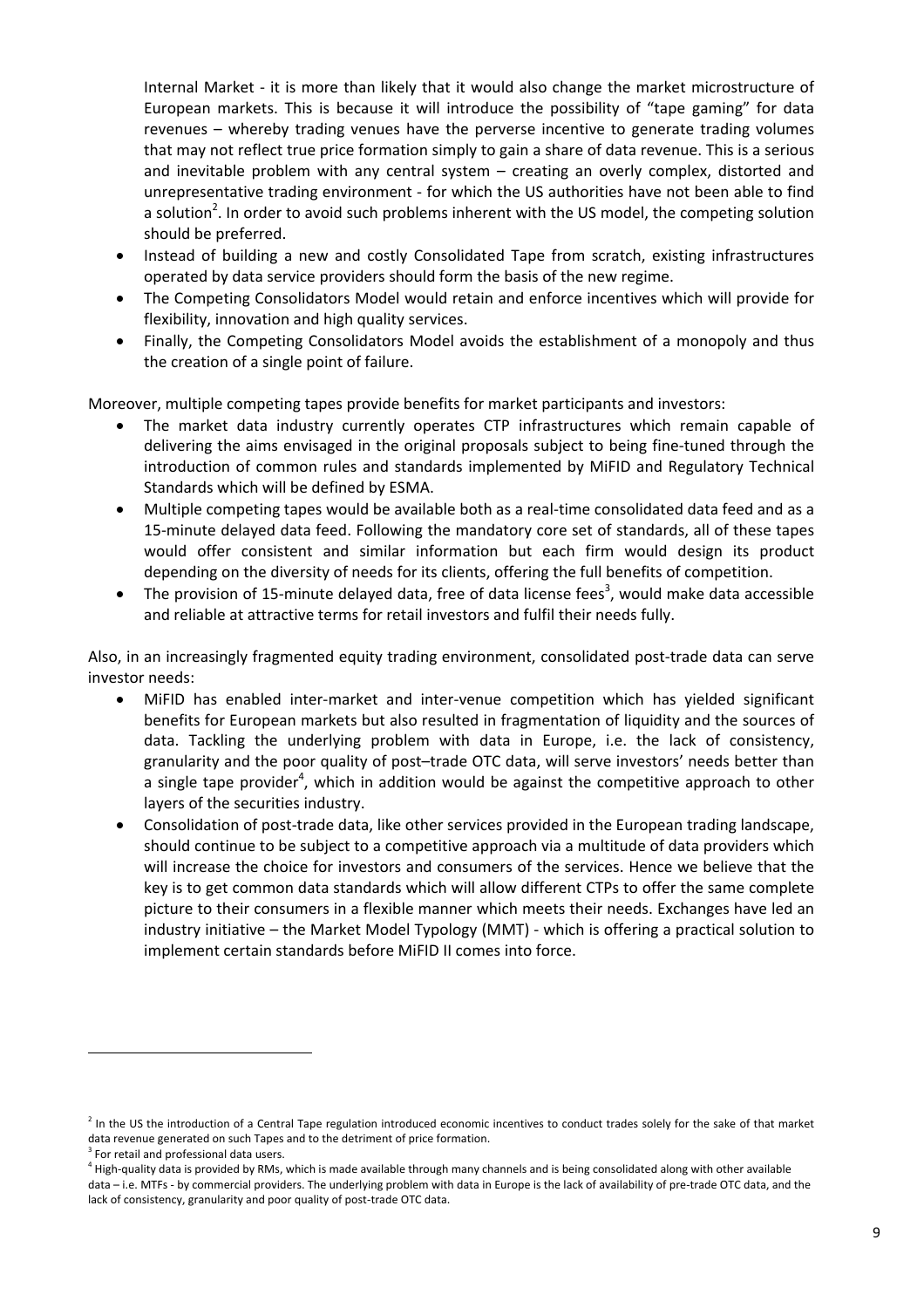Internal Market ‐ it is more than likely that it would also change the market microstructure of European markets. This is because it will introduce the possibility of "tape gaming" for data revenues – whereby trading venues have the perverse incentive to generate trading volumes that may not reflect true price formation simply to gain a share of data revenue. This is a serious and inevitable problem with any central system – creating an overly complex, distorted and unrepresentative trading environment ‐ for which the US authorities have not been able to find a solution<sup>2</sup>. In order to avoid such problems inherent with the US model, the competing solution should be preferred.

- Instead of building a new and costly Consolidated Tape from scratch, existing infrastructures operated by data service providers should form the basis of the new regime.
- The Competing Consolidators Model would retain and enforce incentives which will provide for flexibility, innovation and high quality services.
- Finally, the Competing Consolidators Model avoids the establishment of a monopoly and thus the creation of a single point of failure.

Moreover, multiple competing tapes provide benefits for market participants and investors:

- The market data industry currently operates CTP infrastructures which remain capable of delivering the aims envisaged in the original proposals subject to being fine‐tuned through the introduction of common rules and standards implemented by MiFID and Regulatory Technical Standards which will be defined by ESMA.
- Multiple competing tapes would be available both as a real‐time consolidated data feed and as a 15-minute delayed data feed. Following the mandatory core set of standards, all of these tapes would offer consistent and similar information but each firm would design its product depending on the diversity of needs for its clients, offering the full benefits of competition.
- The provision of 15-minute delayed data, free of data license fees<sup>3</sup>, would make data accessible and reliable at attractive terms for retail investors and fulfil their needs fully.

Also, in an increasingly fragmented equity trading environment, consolidated post-trade data can serve investor needs:

- MiFID has enabled inter-market and inter-venue competition which has yielded significant benefits for European markets but also resulted in fragmentation of liquidity and the sources of data. Tackling the underlying problem with data in Europe, i.e. the lack of consistency, granularity and the poor quality of post–trade OTC data, will serve investors' needs better than a single tape provider<sup>4</sup>, which in addition would be against the competitive approach to other layers of the securities industry.
- Consolidation of post-trade data, like other services provided in the European trading landscape. should continue to be subject to a competitive approach via a multitude of data providers which will increase the choice for investors and consumers of the services. Hence we believe that the key is to get common data standards which will allow different CTPs to offer the same complete picture to their consumers in a flexible manner which meets their needs. Exchanges have led an industry initiative – the Market Model Typology (MMT) ‐ which is offering a practical solution to implement certain standards before MiFID II comes into force.

 $<sup>2</sup>$  In the US the introduction of a Central Tape regulation introduced economic incentives to conduct trades solely for the sake of that market</sup> data revenue generated on such Tapes and to the detriment of price formation.

<sup>&</sup>lt;sup>3</sup> For retail and professional data users.

<sup>&</sup>lt;sup>4</sup> High-quality data is provided by RMs, which is made available through many channels and is being consolidated along with other available data – i.e. MTFs - by commercial providers. The underlying problem with data in Europe is the lack of availability of pre-trade OTC data, and the lack of consistency, granularity and poor quality of post-trade OTC data.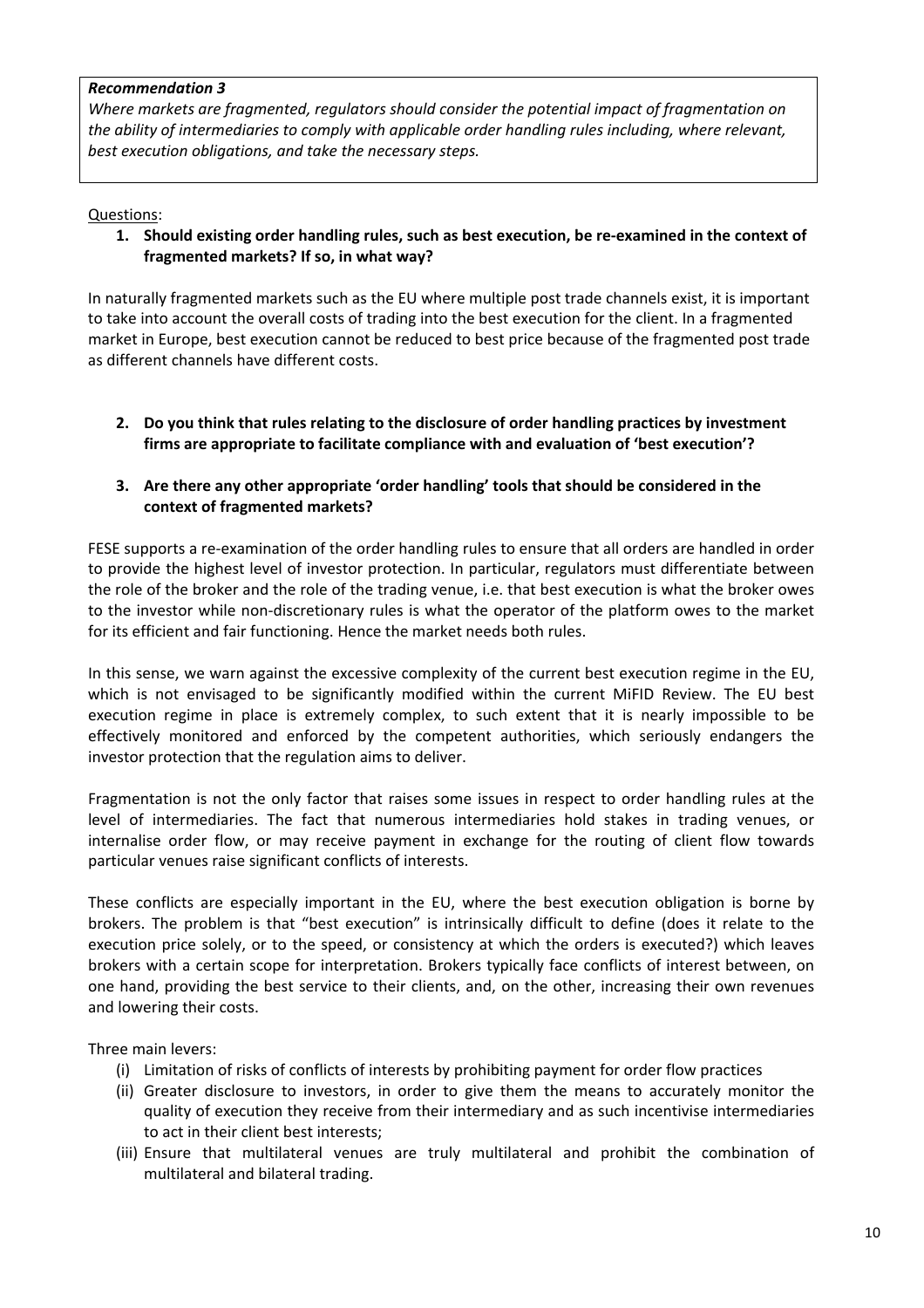#### *Recommendation 3*

*Where markets are fragmented, regulators should consider the potential impact of fragmentation on the ability of intermediaries to comply with applicable order handling rules including, where relevant, best execution obligations, and take the necessary steps.*

Questions:

**1. Should existing order handling rules, such as best execution, be re‐examined in the context of fragmented markets? If so, in what way?**

In naturally fragmented markets such as the EU where multiple post trade channels exist, it is important to take into account the overall costs of trading into the best execution for the client. In a fragmented market in Europe, best execution cannot be reduced to best price because of the fragmented post trade as different channels have different costs.

**2. Do you think that rules relating to the disclosure of order handling practices by investment firms are appropriate to facilitate compliance with and evaluation of 'best execution'?**

# **3. Are there any other appropriate 'order handling' tools that should be considered in the context of fragmented markets?**

FESE supports a re-examination of the order handling rules to ensure that all orders are handled in order to provide the highest level of investor protection. In particular, regulators must differentiate between the role of the broker and the role of the trading venue, i.e. that best execution is what the broker owes to the investor while non‐discretionary rules is what the operator of the platform owes to the market for its efficient and fair functioning. Hence the market needs both rules.

In this sense, we warn against the excessive complexity of the current best execution regime in the EU, which is not envisaged to be significantly modified within the current MiFID Review. The EU best execution regime in place is extremely complex, to such extent that it is nearly impossible to be effectively monitored and enforced by the competent authorities, which seriously endangers the investor protection that the regulation aims to deliver.

Fragmentation is not the only factor that raises some issues in respect to order handling rules at the level of intermediaries. The fact that numerous intermediaries hold stakes in trading venues, or internalise order flow, or may receive payment in exchange for the routing of client flow towards particular venues raise significant conflicts of interests.

These conflicts are especially important in the EU, where the best execution obligation is borne by brokers. The problem is that "best execution" is intrinsically difficult to define (does it relate to the execution price solely, or to the speed, or consistency at which the orders is executed?) which leaves brokers with a certain scope for interpretation. Brokers typically face conflicts of interest between, on one hand, providing the best service to their clients, and, on the other, increasing their own revenues and lowering their costs.

Three main levers:

- (i) Limitation of risks of conflicts of interests by prohibiting payment for order flow practices
- (ii) Greater disclosure to investors, in order to give them the means to accurately monitor the quality of execution they receive from their intermediary and as such incentivise intermediaries to act in their client best interests;
- (iii) Ensure that multilateral venues are truly multilateral and prohibit the combination of multilateral and bilateral trading.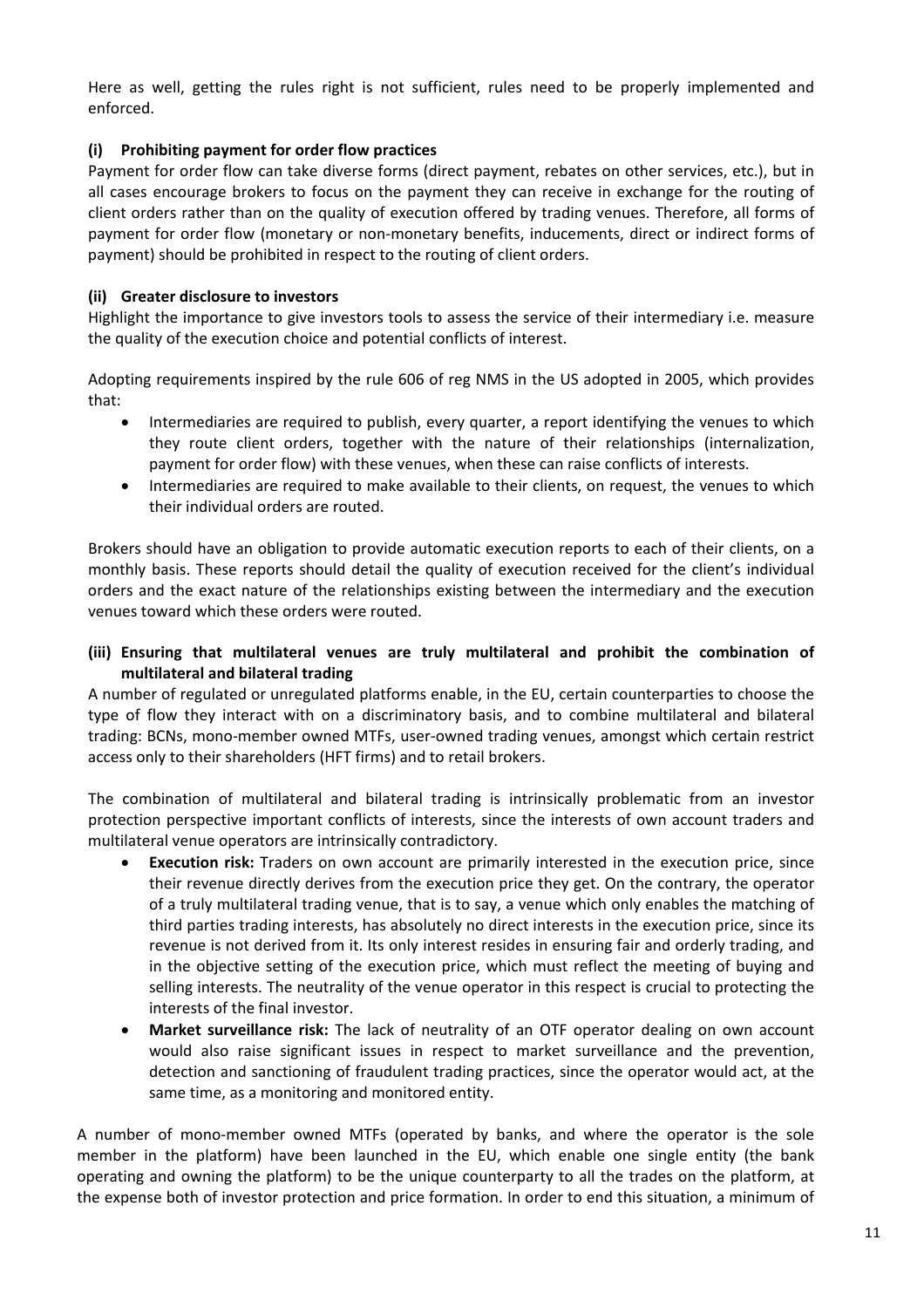Here as well, getting the rules right is not sufficient, rules need to be properly implemented and enforced.

# **(i) Prohibiting payment for order flow practices**

Payment for order flow can take diverse forms (direct payment, rebates on other services, etc.), but in all cases encourage brokers to focus on the payment they can receive in exchange for the routing of client orders rather than on the quality of execution offered by trading venues. Therefore, all forms of payment for order flow (monetary or non‐monetary benefits, inducements, direct or indirect forms of payment) should be prohibited in respect to the routing of client orders.

# **(ii) Greater disclosure to investors**

Highlight the importance to give investors tools to assess the service of their intermediary i.e. measure the quality of the execution choice and potential conflicts of interest.

Adopting requirements inspired by the rule 606 of reg NMS in the US adopted in 2005, which provides that:

- Intermediaries are required to publish, every quarter, a report identifying the venues to which they route client orders, together with the nature of their relationships (internalization, payment for order flow) with these venues, when these can raise conflicts of interests.
- Intermediaries are required to make available to their clients, on request, the venues to which their individual orders are routed.

Brokers should have an obligation to provide automatic execution reports to each of their clients, on a monthly basis. These reports should detail the quality of execution received for the client's individual orders and the exact nature of the relationships existing between the intermediary and the execution venues toward which these orders were routed.

# **(iii) Ensuring that multilateral venues are truly multilateral and prohibit the combination of multilateral and bilateral trading**

A number of regulated or unregulated platforms enable, in the EU, certain counterparties to choose the type of flow they interact with on a discriminatory basis, and to combine multilateral and bilateral trading: BCNs, mono‐member owned MTFs, user‐owned trading venues, amongst which certain restrict access only to their shareholders (HFT firms) and to retail brokers.

The combination of multilateral and bilateral trading is intrinsically problematic from an investor protection perspective important conflicts of interests, since the interests of own account traders and multilateral venue operators are intrinsically contradictory.

- **Execution risk:** Traders on own account are primarily interested in the execution price, since their revenue directly derives from the execution price they get. On the contrary, the operator of a truly multilateral trading venue, that is to say, a venue which only enables the matching of third parties trading interests, has absolutely no direct interests in the execution price, since its revenue is not derived from it. Its only interest resides in ensuring fair and orderly trading, and in the objective setting of the execution price, which must reflect the meeting of buying and selling interests. The neutrality of the venue operator in this respect is crucial to protecting the interests of the final investor.
- **Market surveillance risk:** The lack of neutrality of an OTF operator dealing on own account would also raise significant issues in respect to market surveillance and the prevention, detection and sanctioning of fraudulent trading practices, since the operator would act, at the same time, as a monitoring and monitored entity.

A number of mono‐member owned MTFs (operated by banks, and where the operator is the sole member in the platform) have been launched in the EU, which enable one single entity (the bank operating and owning the platform) to be the unique counterparty to all the trades on the platform, at the expense both of investor protection and price formation. In order to end this situation, a minimum of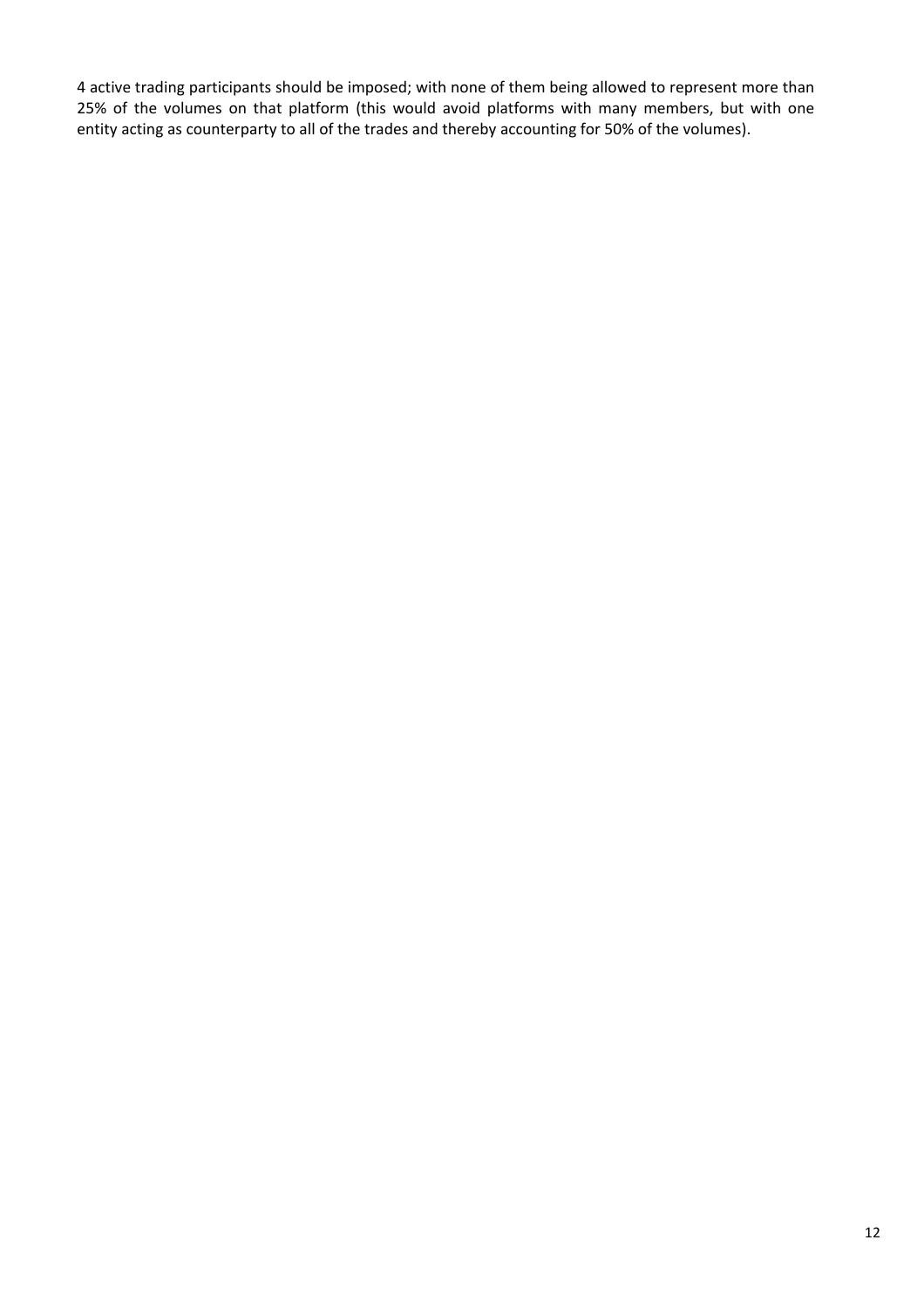4 active trading participants should be imposed; with none of them being allowed to represent more than 25% of the volumes on that platform (this would avoid platforms with many members, but with one entity acting as counterparty to all of the trades and thereby accounting for 50% of the volumes).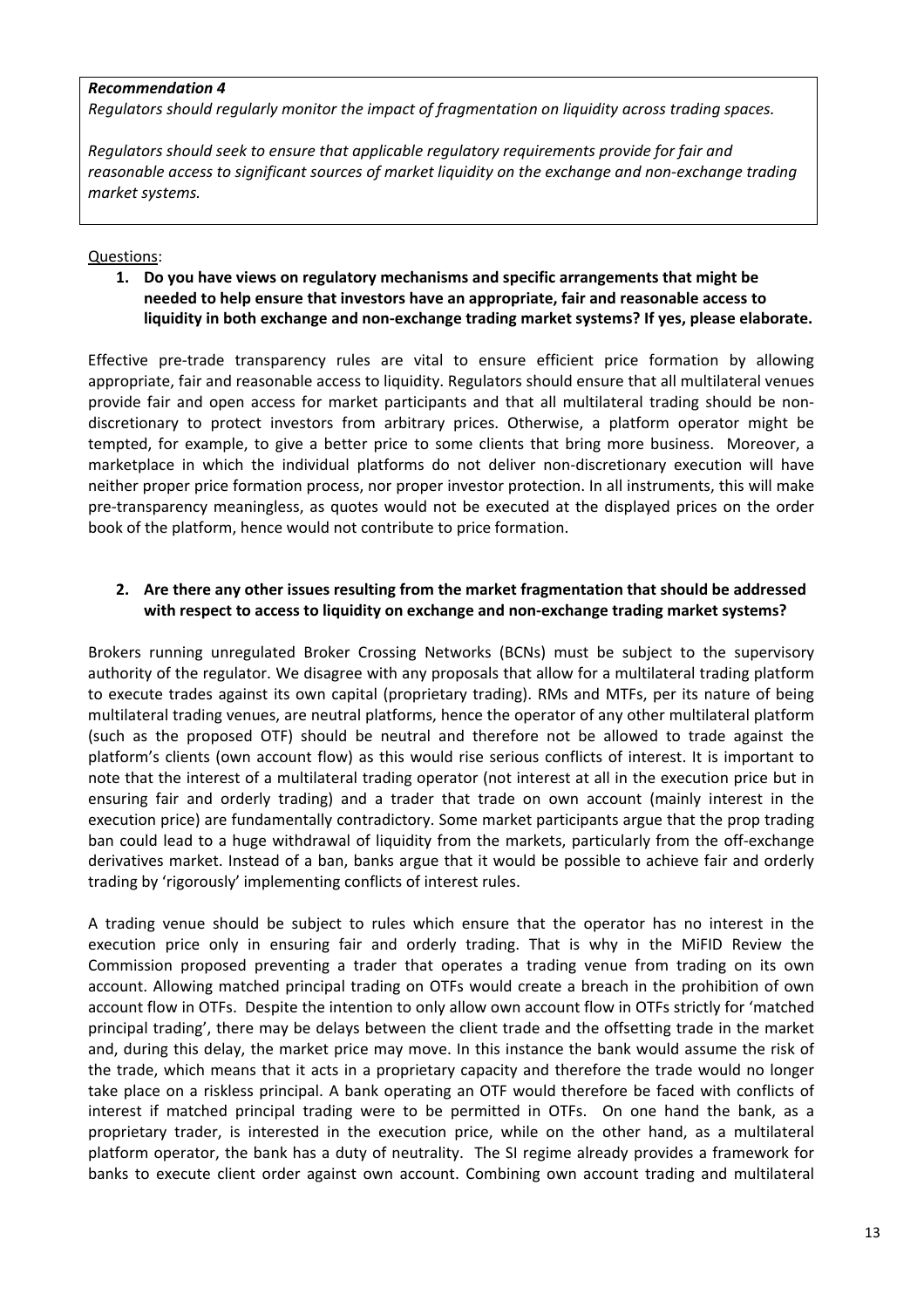#### *Recommendation 4*

*Regulators should regularly monitor the impact of fragmentation on liquidity across trading spaces.*

*Regulators should seek to ensure that applicable regulatory requirements provide for fair and reasonable access to significant sources of market liquidity on the exchange and non‐exchange trading market systems.*

# Questions:

**1. Do you have views on regulatory mechanisms and specific arrangements that might be needed to help ensure that investors have an appropriate, fair and reasonable access to liquidity in both exchange and non‐exchange trading market systems? If yes, please elaborate.**

Effective pre-trade transparency rules are vital to ensure efficient price formation by allowing appropriate, fair and reasonable access to liquidity. Regulators should ensure that all multilateral venues provide fair and open access for market participants and that all multilateral trading should be nondiscretionary to protect investors from arbitrary prices. Otherwise, a platform operator might be tempted, for example, to give a better price to some clients that bring more business. Moreover, a marketplace in which the individual platforms do not deliver non-discretionary execution will have neither proper price formation process, nor proper investor protection. In all instruments, this will make pre-transparency meaningless, as quotes would not be executed at the displayed prices on the order book of the platform, hence would not contribute to price formation.

# **2. Are there any other issues resulting from the market fragmentation that should be addressed with respect to access to liquidity on exchange and non‐exchange trading market systems?**

Brokers running unregulated Broker Crossing Networks (BCNs) must be subject to the supervisory authority of the regulator. We disagree with any proposals that allow for a multilateral trading platform to execute trades against its own capital (proprietary trading). RMs and MTFs, per its nature of being multilateral trading venues, are neutral platforms, hence the operator of any other multilateral platform (such as the proposed OTF) should be neutral and therefore not be allowed to trade against the platform's clients (own account flow) as this would rise serious conflicts of interest. It is important to note that the interest of a multilateral trading operator (not interest at all in the execution price but in ensuring fair and orderly trading) and a trader that trade on own account (mainly interest in the execution price) are fundamentally contradictory. Some market participants argue that the prop trading ban could lead to a huge withdrawal of liquidity from the markets, particularly from the off‐exchange derivatives market. Instead of a ban, banks argue that it would be possible to achieve fair and orderly trading by 'rigorously' implementing conflicts of interest rules.

A trading venue should be subject to rules which ensure that the operator has no interest in the execution price only in ensuring fair and orderly trading. That is why in the MiFID Review the Commission proposed preventing a trader that operates a trading venue from trading on its own account. Allowing matched principal trading on OTFs would create a breach in the prohibition of own account flow in OTFs. Despite the intention to only allow own account flow in OTFs strictly for 'matched principal trading', there may be delays between the client trade and the offsetting trade in the market and, during this delay, the market price may move. In this instance the bank would assume the risk of the trade, which means that it acts in a proprietary capacity and therefore the trade would no longer take place on a riskless principal. A bank operating an OTF would therefore be faced with conflicts of interest if matched principal trading were to be permitted in OTFs. On one hand the bank, as a proprietary trader, is interested in the execution price, while on the other hand, as a multilateral platform operator, the bank has a duty of neutrality. The SI regime already provides a framework for banks to execute client order against own account. Combining own account trading and multilateral